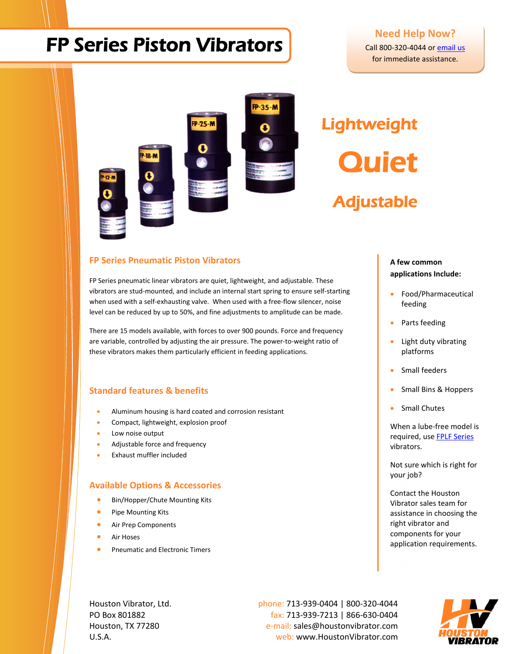## FP Series Piston Vibrators

## **Need Help Now?**

[Call 800-320-4044 or](http://www.houstonvibrator.com/store.asp?pid=32480&catid=20007) email us for immediate assistance.



# **Lightweight Quiet**

Adjustable

#### **FP Series Pneumatic Piston Vibrators**

FP Series pneumatic linear vibrators are quiet, lightweight, and adjustable. These vibrators are stud-mounted, and include an internal start spring to ensure self-starting when used with a self-exhausting valve. When used with a free-flow silencer, noise level can be reduced by up to 50%, and fine adjustments to amplitude can be made.

There are 15 models available, with forces to over 900 pounds. Force and frequency are variable, controlled by adjusting the air pressure. The power-to-weight ratio of these vibrators makes them particularly efficient in feeding applications.

## **Standard features & benefits**

- Aluminum housing is hard coated and corrosion resistant
- Compact, lightweight, explosion proof
- Low noise output
- Adjustable force and frequency
- Exhaust muffler included

#### **Available Options & Accessories**

- Bin/Hopper/Chute Mounting Kits
- Pipe Mounting Kits
- Air Prep Components
- Air Hoses
- Pneumatic and Electronic Timers

#### **A few common applications Include:**

- Food/Pharmaceutical feeding
- Parts feeding
- Light duty vibrating platforms
- Small feeders
- Small Bins & Hoppers
- Small Chutes

When a lube-free model is required, use [FPLF Series](http://www.houstonvibrator.com/store.asp?pid=33545) vibrators.

Not sure which is right for your job?

Contact the Houston Vibrator sales team for assistance in choosing the right vibrator and components for your application requirements.

Houston Vibrator, Ltd. **phone: 713-939-0404** | 800-320-4044 PO Box 801882 fax: 713-939-7213 | 866-630-0404 Houston, TX 77280 e-mail: sales@houstonvibrator.com U.S.A. web: www.HoustonVibrator.com